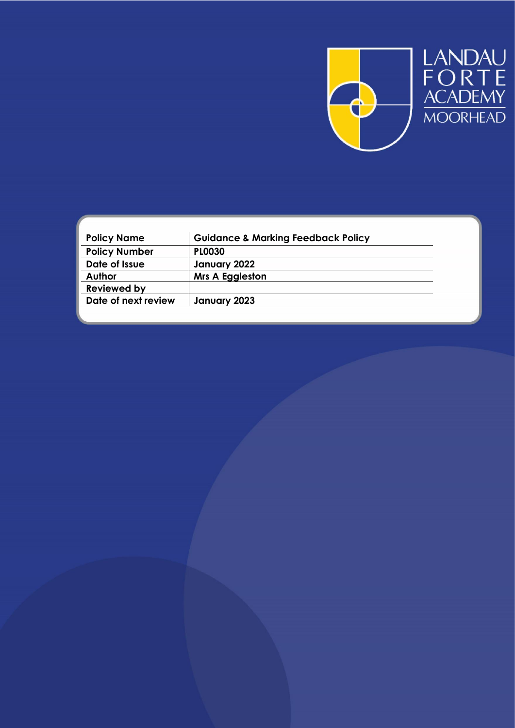

LANDAU<br>FORTE<br>ACADEMY<br>MOORHEAD

| <b>Policy Name</b>   | <b>Guidance &amp; Marking Feedback Policy</b> |
|----------------------|-----------------------------------------------|
| <b>Policy Number</b> | <b>PLO030</b>                                 |
| Date of Issue        | January 2022                                  |
| Author               | <b>Mrs A Eggleston</b>                        |
| <b>Reviewed by</b>   |                                               |
| Date of next review  | January 2023                                  |
|                      |                                               |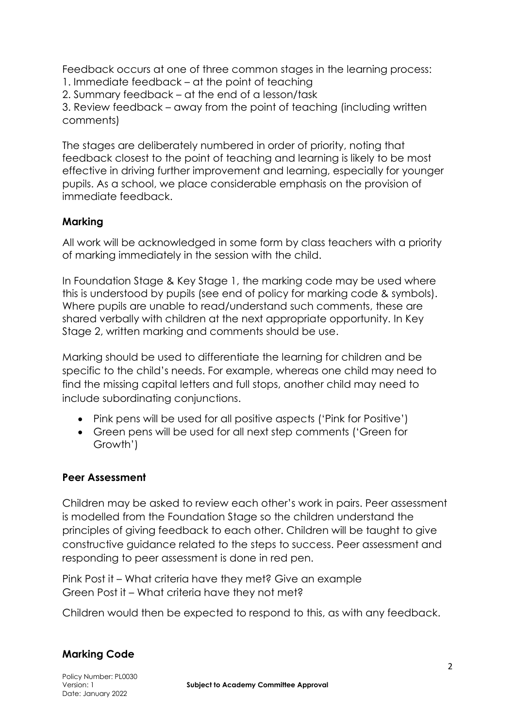Feedback occurs at one of three common stages in the learning process:

1. Immediate feedback – at the point of teaching

2. Summary feedback – at the end of a lesson/task

3. Review feedback – away from the point of teaching (including written comments)

The stages are deliberately numbered in order of priority, noting that feedback closest to the point of teaching and learning is likely to be most effective in driving further improvement and learning, especially for younger pupils. As a school, we place considerable emphasis on the provision of immediate feedback.

## **Marking**

All work will be acknowledged in some form by class teachers with a priority of marking immediately in the session with the child.

In Foundation Stage & Key Stage 1, the marking code may be used where this is understood by pupils (see end of policy for marking code & symbols). Where pupils are unable to read/understand such comments, these are shared verbally with children at the next appropriate opportunity. In Key Stage 2, written marking and comments should be use.

Marking should be used to differentiate the learning for children and be specific to the child's needs. For example, whereas one child may need to find the missing capital letters and full stops, another child may need to include subordinating conjunctions.

- Pink pens will be used for all positive aspects ('Pink for Positive')
- Green pens will be used for all next step comments ('Green for Growth')

## **Peer Assessment**

Children may be asked to review each other's work in pairs. Peer assessment is modelled from the Foundation Stage so the children understand the principles of giving feedback to each other. Children will be taught to give constructive guidance related to the steps to success. Peer assessment and responding to peer assessment is done in red pen.

Pink Post it – What criteria have they met? Give an example Green Post it – What criteria have they not met?

Children would then be expected to respond to this, as with any feedback.

## **Marking Code**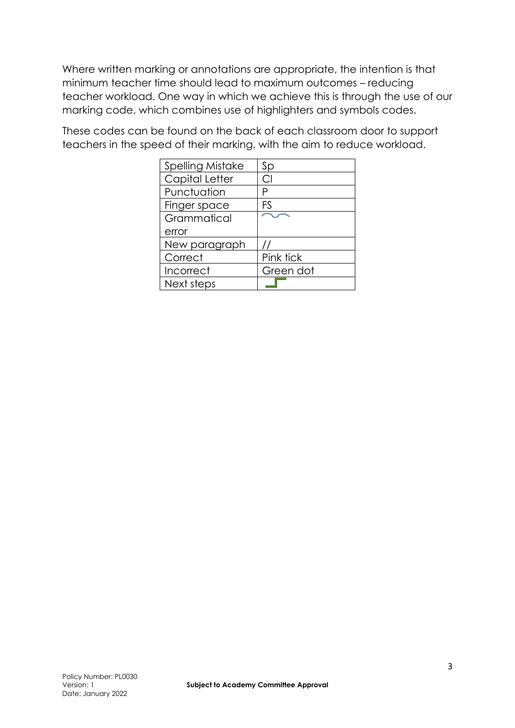Where written marking or annotations are appropriate, the intention is that minimum teacher time should lead to maximum outcomes – reducing teacher workload. One way in which we achieve this is through the use of our marking code, which combines use of highlighters and symbols codes.

These codes can be found on the back of each classroom door to support teachers in the speed of their marking, with the aim to reduce workload.

| <b>Spelling Mistake</b> | Sp        |
|-------------------------|-----------|
| Capital Letter          | C.        |
| Punctuation             | Ρ         |
| Finger space            | FS        |
| Grammatical             |           |
| error                   |           |
| New paragraph           |           |
| Correct                 | Pink tick |
| Incorrect               | Green dot |
| Next steps              |           |